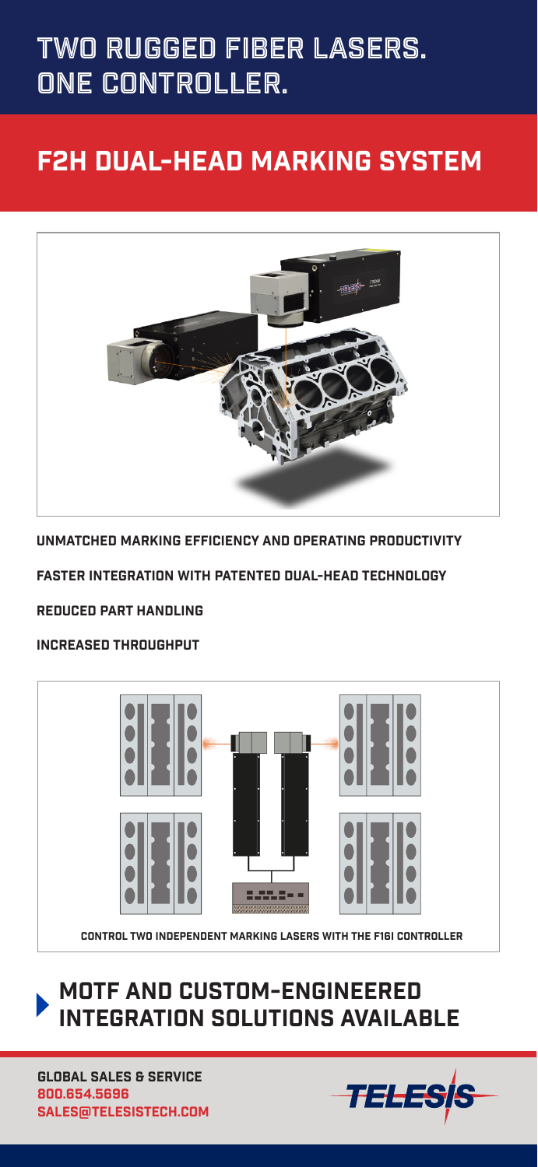# Two rugged fiber lasers. one controller.

### F2H dual-head mARKING SYSTEM



UNMATCHED MARKING EFFICIENCY AND OPERATING PRODUCTIVITY

FASTER INTEGRATION WITH PATENTED DUAL-HEAD TECHNOLOGY

REDUCED PART HANDLING

#### INCREASED THROUGHPUT



motf and custom-engineered INTEGRATION SOLUTIONS AVAILABLE

SALES@TELESISTECH.COM